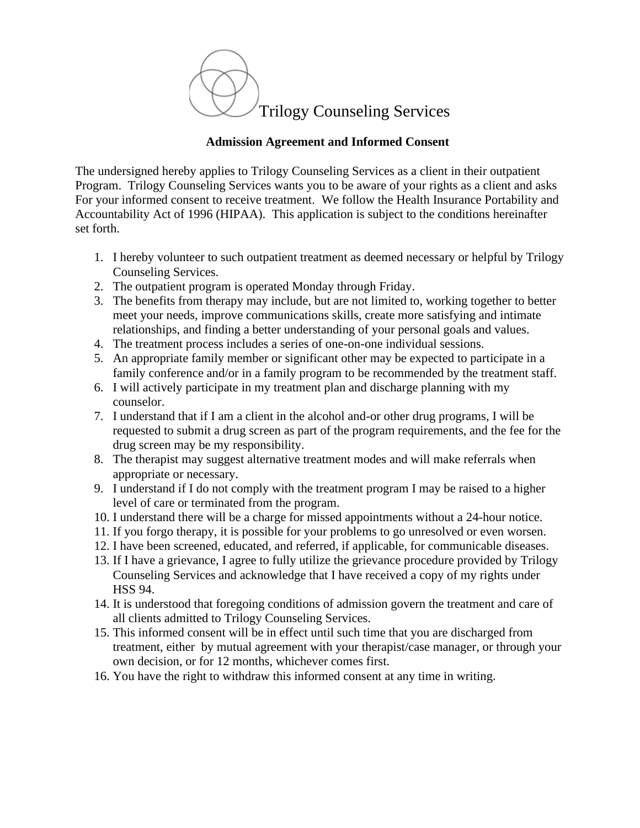

## **Admission Agreement and Informed Consent**

The undersigned hereby applies to Trilogy Counseling Services as a client in their outpatient Program. Trilogy Counseling Services wants you to be aware of your rights as a client and asks For your informed consent to receive treatment. We follow the Health Insurance Portability and Accountability Act of 1996 (HIPAA). This application is subject to the conditions hereinafter set forth.

- 1. I hereby volunteer to such outpatient treatment as deemed necessary or helpful by Trilogy Counseling Services.
- 2. The outpatient program is operated Monday through Friday.
- 3. The benefits from therapy may include, but are not limited to, working together to better meet your needs, improve communications skills, create more satisfying and intimate relationships, and finding a better understanding of your personal goals and values.
- 4. The treatment process includes a series of one-on-one individual sessions.
- 5. An appropriate family member or significant other may be expected to participate in a family conference and/or in a family program to be recommended by the treatment staff.
- 6. I will actively participate in my treatment plan and discharge planning with my counselor.
- 7. I understand that if I am a client in the alcohol and-or other drug programs, I will be requested to submit a drug screen as part of the program requirements, and the fee for the drug screen may be my responsibility.
- 8. The therapist may suggest alternative treatment modes and will make referrals when appropriate or necessary.
- 9. I understand if I do not comply with the treatment program I may be raised to a higher level of care or terminated from the program.
- 10. I understand there will be a charge for missed appointments without a 24-hour notice.
- 11. If you forgo therapy, it is possible for your problems to go unresolved or even worsen.
- 12. I have been screened, educated, and referred, if applicable, for communicable diseases.
- 13. If I have a grievance, I agree to fully utilize the grievance procedure provided by Trilogy Counseling Services and acknowledge that I have received a copy of my rights under HSS 94.
- 14. It is understood that foregoing conditions of admission govern the treatment and care of all clients admitted to Trilogy Counseling Services.
- 15. This informed consent will be in effect until such time that you are discharged from treatment, either by mutual agreement with your therapist/case manager, or through your own decision, or for 12 months, whichever comes first.
- 16. You have the right to withdraw this informed consent at any time in writing.